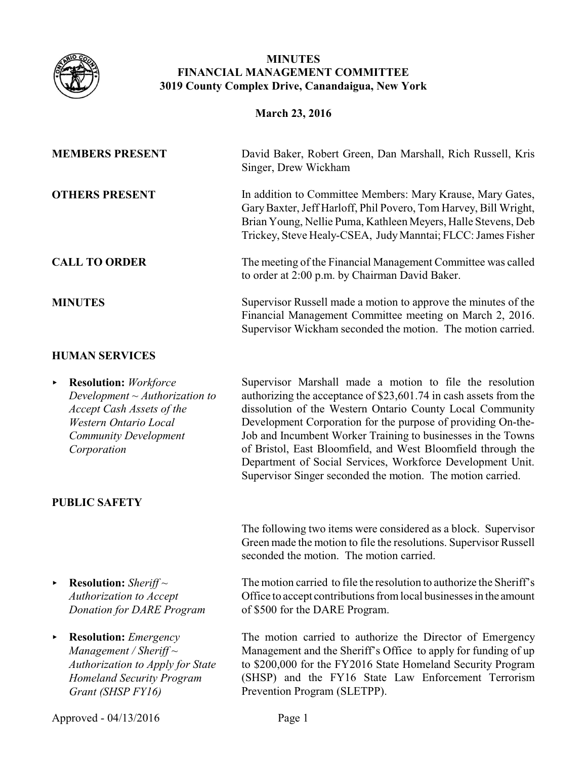

## **MINUTES FINANCIAL MANAGEMENT COMMITTEE 3019 County Complex Drive, Canandaigua, New York**

| <b>MEMBERS PRESENT</b>                                                                                                                                                                      | David Baker, Robert Green, Dan Marshall, Rich Russell, Kris<br>Singer, Drew Wickham                                                                                                                                                                                                                                                                                                                                                                                                                                    |
|---------------------------------------------------------------------------------------------------------------------------------------------------------------------------------------------|------------------------------------------------------------------------------------------------------------------------------------------------------------------------------------------------------------------------------------------------------------------------------------------------------------------------------------------------------------------------------------------------------------------------------------------------------------------------------------------------------------------------|
| <b>OTHERS PRESENT</b>                                                                                                                                                                       | In addition to Committee Members: Mary Krause, Mary Gates,<br>Gary Baxter, Jeff Harloff, Phil Povero, Tom Harvey, Bill Wright,<br>Brian Young, Nellie Puma, Kathleen Meyers, Halle Stevens, Deb<br>Trickey, Steve Healy-CSEA, Judy Manntai; FLCC: James Fisher                                                                                                                                                                                                                                                         |
| <b>CALL TO ORDER</b>                                                                                                                                                                        | The meeting of the Financial Management Committee was called<br>to order at 2:00 p.m. by Chairman David Baker.                                                                                                                                                                                                                                                                                                                                                                                                         |
| <b>MINUTES</b>                                                                                                                                                                              | Supervisor Russell made a motion to approve the minutes of the<br>Financial Management Committee meeting on March 2, 2016.<br>Supervisor Wickham seconded the motion. The motion carried.                                                                                                                                                                                                                                                                                                                              |
| <b>HUMAN SERVICES</b>                                                                                                                                                                       |                                                                                                                                                                                                                                                                                                                                                                                                                                                                                                                        |
| <b>Resolution:</b> Workforce<br>▶<br>Development $\sim$ Authorization to<br><b>Accept Cash Assets of the</b><br><b>Western Ontario Local</b><br><b>Community Development</b><br>Corporation | Supervisor Marshall made a motion to file the resolution<br>authorizing the acceptance of \$23,601.74 in cash assets from the<br>dissolution of the Western Ontario County Local Community<br>Development Corporation for the purpose of providing On-the-<br>Job and Incumbent Worker Training to businesses in the Towns<br>of Bristol, East Bloomfield, and West Bloomfield through the<br>Department of Social Services, Workforce Development Unit.<br>Supervisor Singer seconded the motion. The motion carried. |
| <b>PUBLIC SAFETY</b>                                                                                                                                                                        |                                                                                                                                                                                                                                                                                                                                                                                                                                                                                                                        |
|                                                                                                                                                                                             | The following two items were considered as a block. Supervisor<br>Green made the motion to file the resolutions. Supervisor Russell<br>seconded the motion. The motion carried.                                                                                                                                                                                                                                                                                                                                        |
| <b>Resolution:</b> Sheriff $\sim$<br>▶<br><b>Authorization to Accept</b><br><b>Donation for DARE Program</b>                                                                                | The motion carried to file the resolution to authorize the Sheriff's<br>Office to accept contributions from local businesses in the amount<br>of \$500 for the DARE Program.                                                                                                                                                                                                                                                                                                                                           |
| <b>Resolution:</b> <i>Emergency</i><br>▶<br>Management / Sheriff $\sim$<br>Authorization to Apply for State<br><b>Homeland Security Program</b><br>Grant (SHSP FY16)                        | The motion carried to authorize the Director of Emergency<br>Management and the Sheriff's Office to apply for funding of up<br>to \$200,000 for the FY2016 State Homeland Security Program<br>(SHSP) and the FY16 State Law Enforcement Terrorism<br>Prevention Program (SLETPP).                                                                                                                                                                                                                                      |
| Approved - 04/13/2016                                                                                                                                                                       | Page 1                                                                                                                                                                                                                                                                                                                                                                                                                                                                                                                 |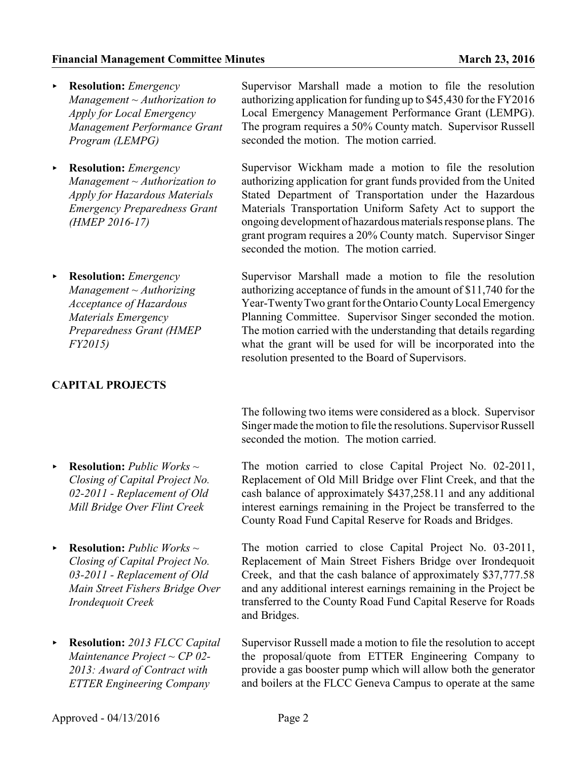- < **Resolution:** *Emergency Management ~ Authorization to Apply for Local Emergency Management Performance Grant Program (LEMPG)*
- < **Resolution:** *Emergency Management ~ Authorization to Apply for Hazardous Materials Emergency Preparedness Grant (HMEP 2016-17)*
- < **Resolution:** *Emergency Management ~ Authorizing Acceptance of Hazardous Materials Emergency Preparedness Grant (HMEP FY2015)*

## **CAPITAL PROJECTS**

- < **Resolution:** *Public Works ~ Closing of Capital Project No. 02-2011 - Replacement of Old Mill Bridge Over Flint Creek*
- < **Resolution:** *Public Works ~ Closing of Capital Project No. 03-2011 - Replacement of Old Main Street Fishers Bridge Over Irondequoit Creek*
- < **Resolution:** *2013 FLCC Capital Maintenance Project ~ CP 02- 2013: Award of Contract with ETTER Engineering Company*

Supervisor Marshall made a motion to file the resolution authorizing application for funding up to \$45,430 for the FY2016 Local Emergency Management Performance Grant (LEMPG). The program requires a 50% County match. Supervisor Russell seconded the motion. The motion carried.

Supervisor Wickham made a motion to file the resolution authorizing application for grant funds provided from the United Stated Department of Transportation under the Hazardous Materials Transportation Uniform Safety Act to support the ongoing development of hazardousmaterials response plans. The grant program requires a 20% County match. Supervisor Singer seconded the motion. The motion carried.

Supervisor Marshall made a motion to file the resolution authorizing acceptance of funds in the amount of \$11,740 for the Year-TwentyTwo grant for the Ontario CountyLocal Emergency Planning Committee. Supervisor Singer seconded the motion. The motion carried with the understanding that details regarding what the grant will be used for will be incorporated into the resolution presented to the Board of Supervisors.

The following two items were considered as a block. Supervisor Singer made the motion to file the resolutions. Supervisor Russell seconded the motion. The motion carried.

The motion carried to close Capital Project No. 02-2011, Replacement of Old Mill Bridge over Flint Creek, and that the cash balance of approximately \$437,258.11 and any additional interest earnings remaining in the Project be transferred to the County Road Fund Capital Reserve for Roads and Bridges.

The motion carried to close Capital Project No. 03-2011, Replacement of Main Street Fishers Bridge over Irondequoit Creek, and that the cash balance of approximately \$37,777.58 and any additional interest earnings remaining in the Project be transferred to the County Road Fund Capital Reserve for Roads and Bridges.

Supervisor Russell made a motion to file the resolution to accept the proposal/quote from ETTER Engineering Company to provide a gas booster pump which will allow both the generator and boilers at the FLCC Geneva Campus to operate at the same